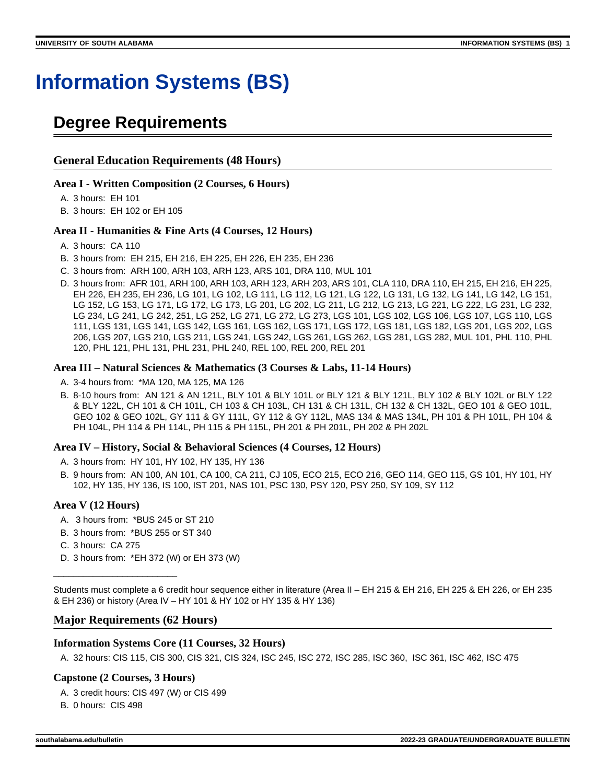# **Information Systems (BS)**

## **Degree Requirements**

#### **General Education Requirements (48 Hours)**

#### **Area I - Written Composition (2 Courses, 6 Hours)**

- A. 3 hours: EH 101
- B. 3 hours: EH 102 or EH 105

#### **Area II - Humanities & Fine Arts (4 Courses, 12 Hours)**

- A. 3 hours: CA 110
- B. 3 hours from: EH 215, EH 216, EH 225, EH 226, EH 235, EH 236
- C. 3 hours from: ARH 100, ARH 103, ARH 123, ARS 101, DRA 110, MUL 101
- D. 3 hours from: AFR 101, ARH 100, ARH 103, ARH 123, ARH 203, ARS 101, CLA 110, DRA 110, EH 215, EH 216, EH 225, EH 226, EH 235, EH 236, LG 101, LG 102, LG 111, LG 112, LG 121, LG 122, LG 131, LG 132, LG 141, LG 142, LG 151, LG 152, LG 153, LG 171, LG 172, LG 173, LG 201, LG 202, LG 211, LG 212, LG 213, LG 221, LG 222, LG 231, LG 232, LG 234, LG 241, LG 242, 251, LG 252, LG 271, LG 272, LG 273, LGS 101, LGS 102, LGS 106, LGS 107, LGS 110, LGS 111, LGS 131, LGS 141, LGS 142, LGS 161, LGS 162, LGS 171, LGS 172, LGS 181, LGS 182, LGS 201, LGS 202, LGS 206, LGS 207, LGS 210, LGS 211, LGS 241, LGS 242, LGS 261, LGS 262, LGS 281, LGS 282, MUL 101, PHL 110, PHL 120, PHL 121, PHL 131, PHL 231, PHL 240, REL 100, REL 200, REL 201

#### **Area III – Natural Sciences & Mathematics (3 Courses & Labs, 11-14 Hours)**

- A. 3-4 hours from: \*MA 120, MA 125, MA 126
- B. 8-10 hours from: AN 121 & AN 121L, BLY 101 & BLY 101L or BLY 121 & BLY 121L, BLY 102 & BLY 102L or BLY 122 & BLY 122L, CH 101 & CH 101L, CH 103 & CH 103L, CH 131 & CH 131L, CH 132 & CH 132L, GEO 101 & GEO 101L, GEO 102 & GEO 102L, GY 111 & GY 111L, GY 112 & GY 112L, MAS 134 & MAS 134L, PH 101 & PH 101L, PH 104 & PH 104L, PH 114 & PH 114L, PH 115 & PH 115L, PH 201 & PH 201L, PH 202 & PH 202L

#### **Area IV – History, Social & Behavioral Sciences (4 Courses, 12 Hours)**

- A. 3 hours from: HY 101, HY 102, HY 135, HY 136
- B. 9 hours from: AN 100, AN 101, CA 100, CA 211, CJ 105, ECO 215, ECO 216, GEO 114, GEO 115, GS 101, HY 101, HY 102, HY 135, HY 136, IS 100, IST 201, NAS 101, PSC 130, PSY 120, PSY 250, SY 109, SY 112

#### **Area V (12 Hours)**

- A. 3 hours from: \*BUS 245 or ST 210
- B. 3 hours from: \*BUS 255 or ST 340
- C. 3 hours: CA 275

\_\_\_\_\_\_\_\_\_\_\_\_\_\_\_\_\_\_\_\_\_\_\_\_\_

D. 3 hours from: \*EH 372 (W) or EH 373 (W)

Students must complete a 6 credit hour sequence either in literature (Area II – EH 215 & EH 216, EH 225 & EH 226, or EH 235 & EH 236) or history (Area IV – HY 101 & HY 102 or HY 135 & HY 136)

#### **Major Requirements (62 Hours)**

#### **Information Systems Core (11 Courses, 32 Hours)**

A. 32 hours: CIS 115, CIS 300, CIS 321, CIS 324, ISC 245, ISC 272, ISC 285, ISC 360, ISC 361, ISC 462, ISC 475

#### **Capstone (2 Courses, 3 Hours)**

- A. 3 credit hours: CIS 497 (W) or CIS 499
- B. 0 hours: CIS 498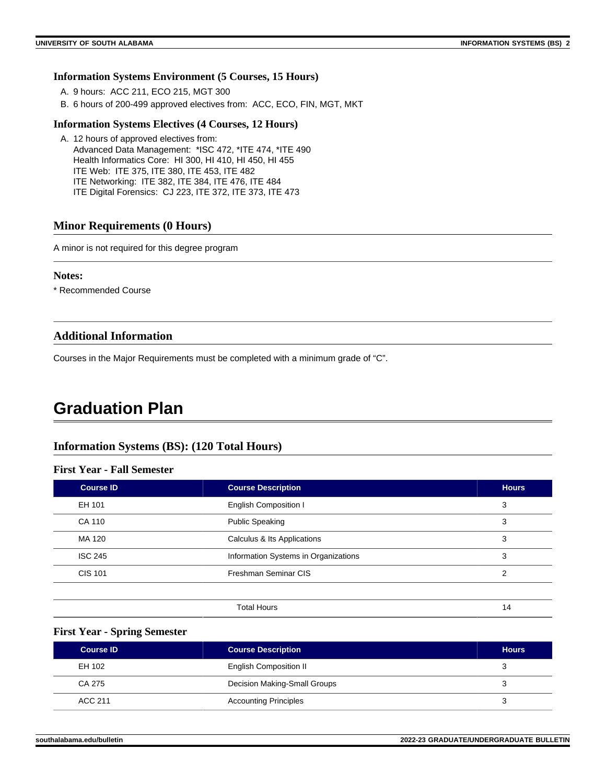#### **Information Systems Environment (5 Courses, 15 Hours)**

- A. 9 hours: ACC 211, ECO 215, MGT 300
- B. 6 hours of 200-499 approved electives from: ACC, ECO, FIN, MGT, MKT

#### **Information Systems Electives (4 Courses, 12 Hours)**

A. 12 hours of approved electives from: Advanced Data Management: \*ISC 472, \*ITE 474, \*ITE 490 Health Informatics Core: HI 300, HI 410, HI 450, HI 455 ITE Web: ITE 375, ITE 380, ITE 453, ITE 482 ITE Networking: ITE 382, ITE 384, ITE 476, ITE 484 ITE Digital Forensics: CJ 223, ITE 372, ITE 373, ITE 473

#### **Minor Requirements (0 Hours)**

A minor is not required for this degree program

#### **Notes:**

\* Recommended Course

#### **Additional Information**

Courses in the Major Requirements must be completed with a minimum grade of "C".

### **Graduation Plan**

#### **Information Systems (BS): (120 Total Hours)**

#### **First Year - Fall Semester**

| <b>Course ID</b> | <b>Course Description</b>            | <b>Hours</b> |
|------------------|--------------------------------------|--------------|
| EH 101           | <b>English Composition I</b>         | 3            |
| CA 110           | <b>Public Speaking</b>               | 3            |
| MA 120           | Calculus & Its Applications          | 3            |
| <b>ISC 245</b>   | Information Systems in Organizations | 3            |
| <b>CIS 101</b>   | Freshman Seminar CIS                 | 2            |
|                  |                                      |              |
|                  | <b>Total Hours</b>                   | 14           |

#### **First Year - Spring Semester**

| <b>Course ID</b> | <b>Course Description</b>     | <b>Hours</b> |
|------------------|-------------------------------|--------------|
| EH 102           | <b>English Composition II</b> |              |
| CA 275           | Decision Making-Small Groups  |              |
| ACC 211          | <b>Accounting Principles</b>  |              |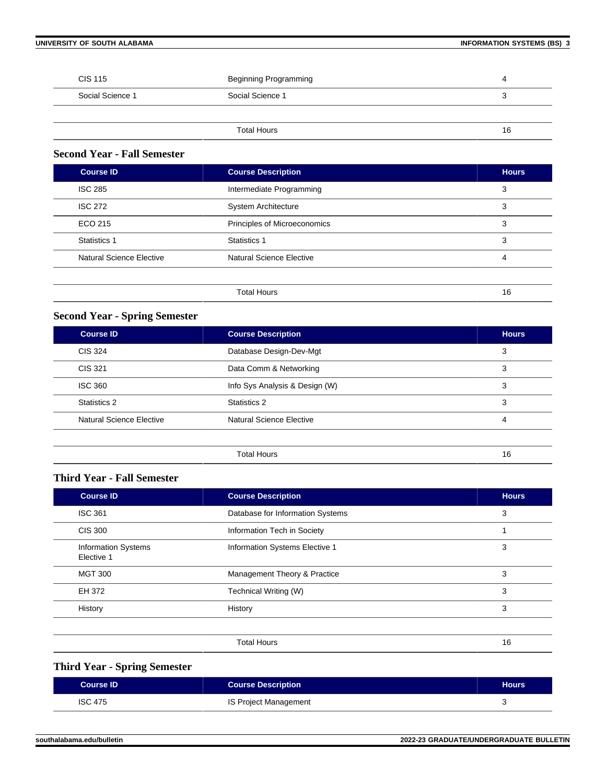#### **UNIVERSITY OF SOUTH ALABAMA INFORMATION SYSTEMS (BS) 3**

| <b>CIS 115</b>   | Beginning Programming | 4  |
|------------------|-----------------------|----|
| Social Science 1 | Social Science 1      | J  |
|                  |                       |    |
|                  | <b>Total Hours</b>    | 16 |

#### **Second Year - Fall Semester**

| <b>Course ID</b>         | <b>Course Description</b>    | <b>Hours</b> |
|--------------------------|------------------------------|--------------|
| <b>ISC 285</b>           | Intermediate Programming     | 3            |
| <b>ISC 272</b>           | <b>System Architecture</b>   | 3            |
| ECO 215                  | Principles of Microeconomics | 3            |
| <b>Statistics 1</b>      | Statistics 1                 | 3            |
| Natural Science Elective | Natural Science Elective     | 4            |
|                          |                              |              |
|                          | <b>Total Hours</b>           | 16           |

#### **Second Year - Spring Semester**

| Course <b>ID</b>         | <b>Course Description</b>       | <b>Hours</b> |
|--------------------------|---------------------------------|--------------|
| <b>CIS 324</b>           | Database Design-Dev-Mgt         | 3            |
| CIS 321                  | Data Comm & Networking          | 3            |
| <b>ISC 360</b>           | Info Sys Analysis & Design (W)  | 3            |
| Statistics 2             | Statistics 2                    | 3            |
| Natural Science Elective | <b>Natural Science Elective</b> | 4            |
|                          |                                 |              |
|                          | <b>Total Hours</b>              | 16           |

#### **Third Year - Fall Semester**

| <b>Course ID</b>                         | <b>Course Description</b>        | <b>Hours</b> |
|------------------------------------------|----------------------------------|--------------|
| <b>ISC 361</b>                           | Database for Information Systems | 3            |
| <b>CIS 300</b>                           | Information Tech in Society      |              |
| <b>Information Systems</b><br>Elective 1 | Information Systems Elective 1   | 3            |
| <b>MGT 300</b>                           | Management Theory & Practice     | 3            |
| EH 372                                   | Technical Writing (W)            | 3            |
| History                                  | History                          | 3            |
|                                          |                                  |              |
|                                          | <b>Total Hours</b>               | 16           |

### **Third Year - Spring Semester**

| <b>Course ID</b> | <b>Course Description</b> | <b>Hours</b> |
|------------------|---------------------------|--------------|
| <b>ISC 475</b>   | IS Project Management     |              |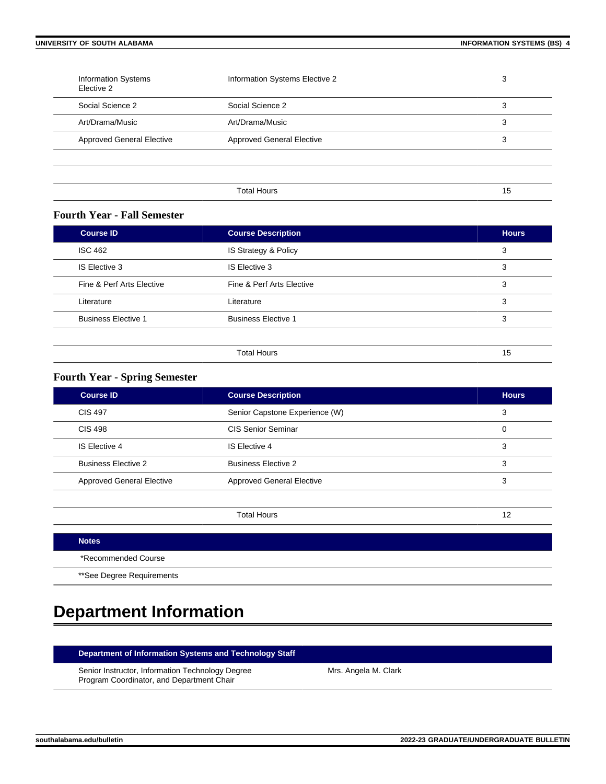| <b>Information Systems</b><br>Elective 2 | Information Systems Elective 2   | 3  |
|------------------------------------------|----------------------------------|----|
| Social Science 2                         | Social Science 2                 | 3  |
| Art/Drama/Music                          | Art/Drama/Music                  | 3  |
| <b>Approved General Elective</b>         | <b>Approved General Elective</b> | 3  |
|                                          |                                  |    |
|                                          |                                  |    |
|                                          | <b>Total Hours</b>               | 15 |

#### **Fourth Year - Fall Semester**

| <b>Course ID</b>           | <b>Course Description</b>  | <b>Hours</b> |
|----------------------------|----------------------------|--------------|
| <b>ISC 462</b>             | IS Strategy & Policy       | 3            |
| IS Elective 3              | IS Elective 3              | 3            |
| Fine & Perf Arts Elective  | Fine & Perf Arts Elective  | 3            |
| Literature                 | Literature                 | 3            |
| <b>Business Elective 1</b> | <b>Business Elective 1</b> | 3            |
|                            |                            |              |
|                            | <b>Total Hours</b>         | 15           |

#### **Fourth Year - Spring Semester**

| <b>Course ID</b>                 | <b>Course Description</b>        | <b>Hours</b> |
|----------------------------------|----------------------------------|--------------|
| CIS 497                          | Senior Capstone Experience (W)   | 3            |
| <b>CIS 498</b>                   | CIS Senior Seminar               | 0            |
| IS Elective 4                    | IS Elective 4                    | 3            |
| <b>Business Elective 2</b>       | <b>Business Elective 2</b>       | 3            |
| <b>Approved General Elective</b> | <b>Approved General Elective</b> | 3            |
|                                  |                                  |              |

| <b>Notes</b>              |
|---------------------------|
| *Recommended Course       |
| **See Degree Requirements |

## **Department Information**

#### **Department of Information Systems and Technology Staff**

Senior Instructor, Information Technology Degree Program Coordinator, and Department Chair

Mrs. Angela M. Clark

Total Hours 12